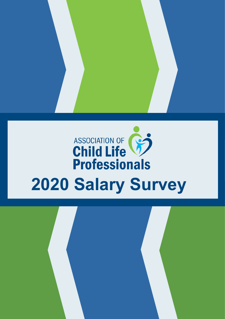# ASSOCIATION OF **Professionals 2020 Salary Survey**

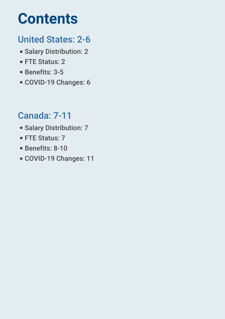### **Contents**

### United States: 2-6 T.

- in 1 Salary Distribution: 2
- T. FTE Status: 2
- T. Benefits: 3-5
- COVID-19 Changes: 6

### Canada: 7-11 T.

- T. Salary Distribution: 7
- T. ● FTE Status: 7
- T. Benefits: 8-10
- COVID-19 Changes: 11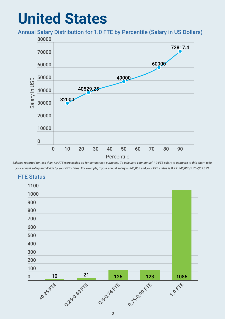### **United States**

#### Annual Salary Distribution for 1.0 FTE by Percentile (Salary in US Dollars)



*Salaries reported for less than 1.0 FTE were scaled up for comparison purposes. To calculate your annual 1.0 FTE salary to compare to this chart, take your annual salary and divide by your FTE status. For example, if your annual salary is \$40,000 and your FTE status is 0.75: \$40,000/0.75=\$53,333.*



#### FTE Status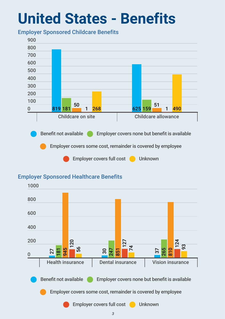### **United States - Benefits**

#### Employer Sponsored Childcare Benefits



### Employer Sponsored Healthcare Benefits

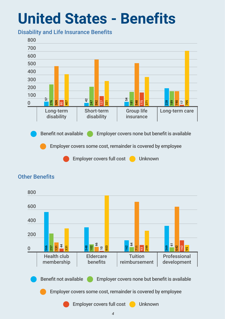### **United States - Benefits**

#### Disability and Life Insurance Benefits



#### Health club membership **Eldercare** benefits **Tuition** reimbursement Professional development  $\frac{5}{3}$  ុ ឌួ|  $\Xi$ ೫ | Benefit not available Employer covers none but benefit is available Employer covers some cost, remainder is covered by employee Employer covers full cost **Unknown**

### Other Benefits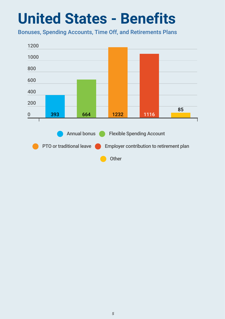## **United States - Benefits**

Bonuses, Spending Accounts, Time Off, and Retirements Plans

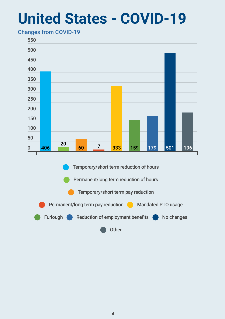### **United States - COVID-19**

### Changes from COVID-19

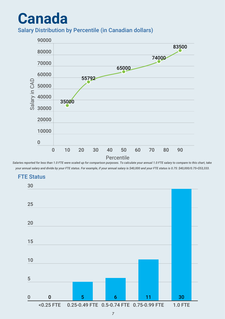### **Canada** Salary Distribution by Percentile (in Canadian dollars)



*Salaries reported for less than 1.0 FTE were scaled up for comparison purposes. To calculate your annual 1.0 FTE salary to compare to this chart, take your annual salary and divide by your FTE status. For example, if your annual salary is \$40,000 and your FTE status is 0.75: \$40,000/0.75=\$53,333.*

### FTE Status

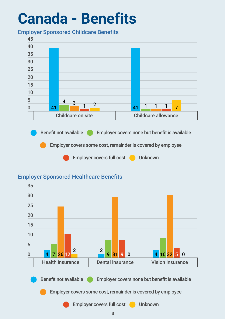## **Canada - Benefits**

#### Employer Sponsored Childcare Benefits



### Employer Sponsored Healthcare Benefits

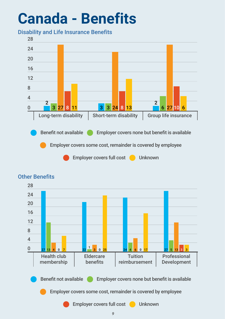## **Canada - Benefits**

Disability and Life Insurance Benefits





#### Other Benefits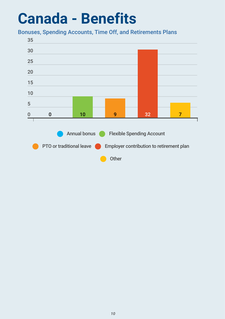### **Canada - Benefits**

Bonuses, Spending Accounts, Time Off, and Retirements Plans

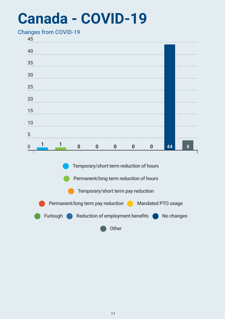### **Canada - COVID-19**

#### Changes from COVID-19